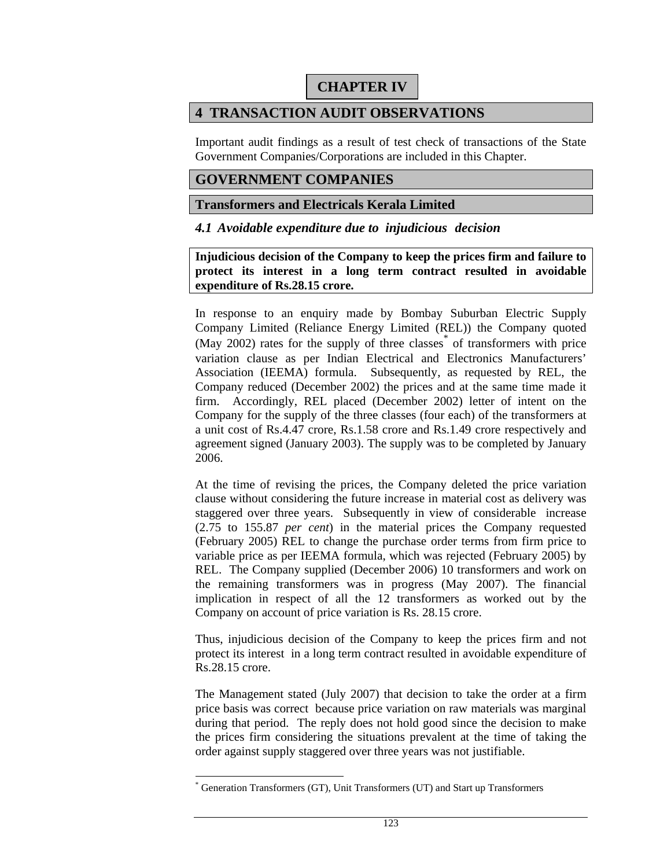# **CHAPTER IV**

# **4 TRANSACTION AUDIT OBSERVATIONS**

Important audit findings as a result of test check of transactions of the State Government Companies/Corporations are included in this Chapter.

## **GOVERNMENT COMPANIES**

### **Transformers and Electricals Kerala Limited**

*4.1 Avoidable expenditure due to injudicious decision* 

**Injudicious decision of the Company to keep the prices firm and failure to protect its interest in a long term contract resulted in avoidable expenditure of Rs.28.15 crore.** 

In response to an enquiry made by Bombay Suburban Electric Supply Company Limited (Reliance Energy Limited (REL)) the Company quoted (May 2002) rates for the supply of three classes\* of transformers with price variation clause as per Indian Electrical and Electronics Manufacturers' Association (IEEMA) formula. Subsequently, as requested by REL, the Company reduced (December 2002) the prices and at the same time made it firm. Accordingly, REL placed (December 2002) letter of intent on the Company for the supply of the three classes (four each) of the transformers at a unit cost of Rs.4.47 crore, Rs.1.58 crore and Rs.1.49 crore respectively and agreement signed (January 2003). The supply was to be completed by January 2006.

At the time of revising the prices, the Company deleted the price variation clause without considering the future increase in material cost as delivery was staggered over three years. Subsequently in view of considerable increase (2.75 to 155.87 *per cent*) in the material prices the Company requested (February 2005) REL to change the purchase order terms from firm price to variable price as per IEEMA formula, which was rejected (February 2005) by REL. The Company supplied (December 2006) 10 transformers and work on the remaining transformers was in progress (May 2007). The financial implication in respect of all the 12 transformers as worked out by the Company on account of price variation is Rs. 28.15 crore.

Thus, injudicious decision of the Company to keep the prices firm and not protect its interest in a long term contract resulted in avoidable expenditure of Rs.28.15 crore.

The Management stated (July 2007) that decision to take the order at a firm price basis was correct because price variation on raw materials was marginal during that period. The reply does not hold good since the decision to make the prices firm considering the situations prevalent at the time of taking the order against supply staggered over three years was not justifiable.

 $\overline{a}$ 

<sup>\*</sup> Generation Transformers (GT), Unit Transformers (UT) and Start up Transformers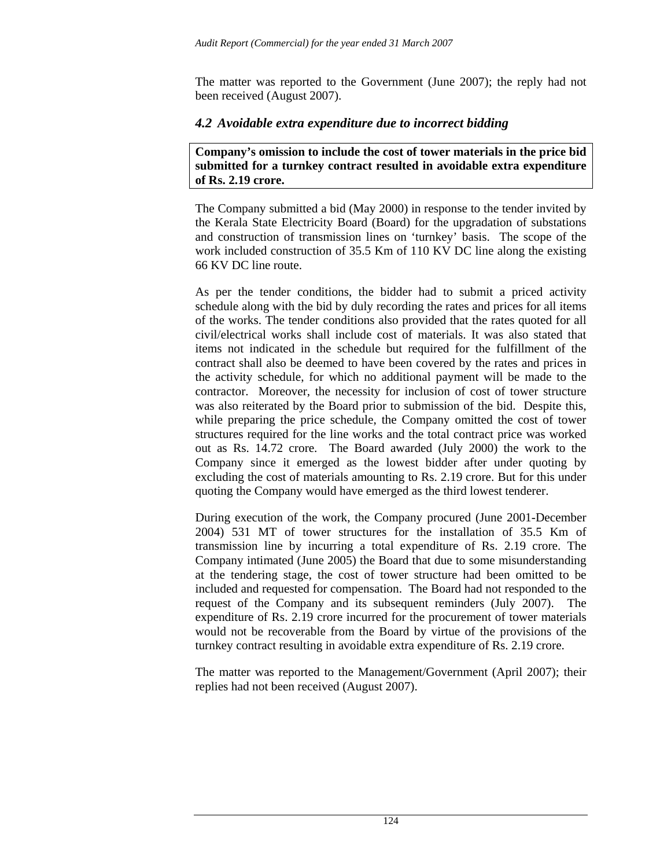The matter was reported to the Government (June 2007); the reply had not been received (August 2007).

## *4.2 Avoidable extra expenditure due to incorrect bidding*

**Company's omission to include the cost of tower materials in the price bid submitted for a turnkey contract resulted in avoidable extra expenditure of Rs. 2.19 crore.** 

The Company submitted a bid (May 2000) in response to the tender invited by the Kerala State Electricity Board (Board) for the upgradation of substations and construction of transmission lines on 'turnkey' basis. The scope of the work included construction of 35.5 Km of 110 KV DC line along the existing 66 KV DC line route.

As per the tender conditions, the bidder had to submit a priced activity schedule along with the bid by duly recording the rates and prices for all items of the works. The tender conditions also provided that the rates quoted for all civil/electrical works shall include cost of materials. It was also stated that items not indicated in the schedule but required for the fulfillment of the contract shall also be deemed to have been covered by the rates and prices in the activity schedule, for which no additional payment will be made to the contractor. Moreover, the necessity for inclusion of cost of tower structure was also reiterated by the Board prior to submission of the bid. Despite this, while preparing the price schedule, the Company omitted the cost of tower structures required for the line works and the total contract price was worked out as Rs. 14.72 crore. The Board awarded (July 2000) the work to the Company since it emerged as the lowest bidder after under quoting by excluding the cost of materials amounting to Rs. 2.19 crore. But for this under quoting the Company would have emerged as the third lowest tenderer.

During execution of the work, the Company procured (June 2001-December 2004) 531 MT of tower structures for the installation of 35.5 Km of transmission line by incurring a total expenditure of Rs. 2.19 crore. The Company intimated (June 2005) the Board that due to some misunderstanding at the tendering stage, the cost of tower structure had been omitted to be included and requested for compensation. The Board had not responded to the request of the Company and its subsequent reminders (July 2007). The expenditure of Rs. 2.19 crore incurred for the procurement of tower materials would not be recoverable from the Board by virtue of the provisions of the turnkey contract resulting in avoidable extra expenditure of Rs. 2.19 crore.

The matter was reported to the Management/Government (April 2007); their replies had not been received (August 2007).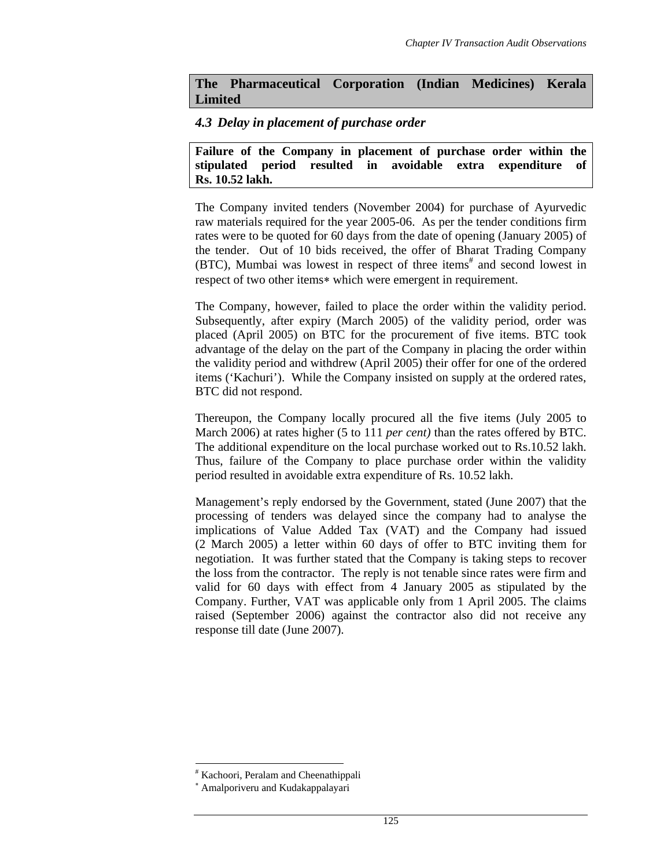## **The Pharmaceutical Corporation (Indian Medicines) Kerala Limited**

## *4.3 Delay in placement of purchase order*

**Failure of the Company in placement of purchase order within the stipulated period resulted in avoidable extra expenditure of Rs. 10.52 lakh.** 

The Company invited tenders (November 2004) for purchase of Ayurvedic raw materials required for the year 2005-06. As per the tender conditions firm rates were to be quoted for 60 days from the date of opening (January 2005) of the tender. Out of 10 bids received, the offer of Bharat Trading Company (BTC), Mumbai was lowest in respect of three items<sup>#</sup> and second lowest in respect of two other items∗ which were emergent in requirement.

The Company, however, failed to place the order within the validity period. Subsequently, after expiry (March 2005) of the validity period, order was placed (April 2005) on BTC for the procurement of five items. BTC took advantage of the delay on the part of the Company in placing the order within the validity period and withdrew (April 2005) their offer for one of the ordered items ('Kachuri'). While the Company insisted on supply at the ordered rates, BTC did not respond.

Thereupon, the Company locally procured all the five items (July 2005 to March 2006) at rates higher (5 to 111 *per cent)* than the rates offered by BTC. The additional expenditure on the local purchase worked out to Rs.10.52 lakh. Thus, failure of the Company to place purchase order within the validity period resulted in avoidable extra expenditure of Rs. 10.52 lakh.

Management's reply endorsed by the Government, stated (June 2007) that the processing of tenders was delayed since the company had to analyse the implications of Value Added Tax (VAT) and the Company had issued (2 March 2005) a letter within 60 days of offer to BTC inviting them for negotiation. It was further stated that the Company is taking steps to recover the loss from the contractor. The reply is not tenable since rates were firm and valid for 60 days with effect from 4 January 2005 as stipulated by the Company. Further, VAT was applicable only from 1 April 2005. The claims raised (September 2006) against the contractor also did not receive any response till date (June 2007).

l # Kachoori, Peralam and Cheenathippali

<sup>∗</sup> Amalporiveru and Kudakappalayari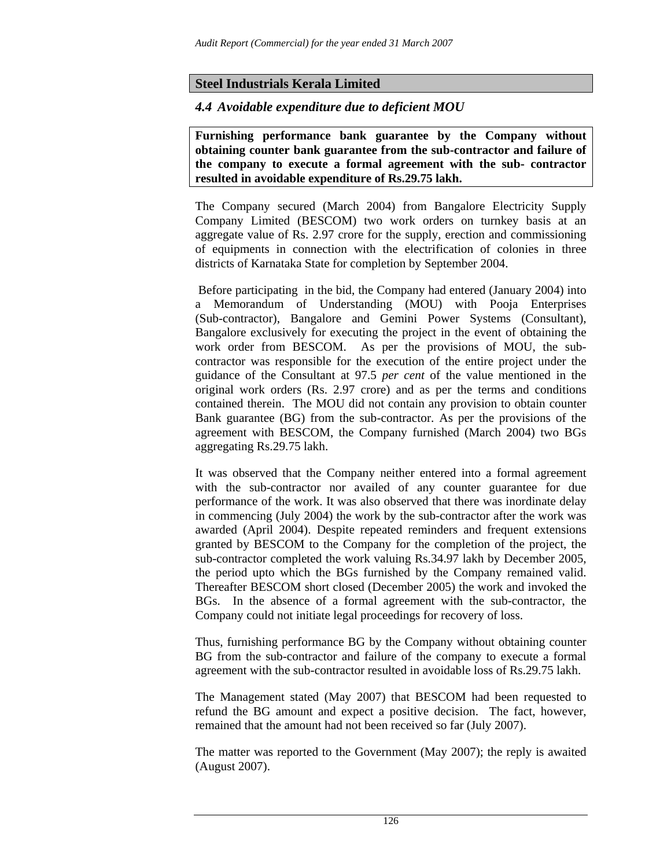## **Steel Industrials Kerala Limited**

### *4.4 Avoidable expenditure due to deficient MOU*

**Furnishing performance bank guarantee by the Company without obtaining counter bank guarantee from the sub-contractor and failure of the company to execute a formal agreement with the sub- contractor resulted in avoidable expenditure of Rs.29.75 lakh.** 

The Company secured (March 2004) from Bangalore Electricity Supply Company Limited (BESCOM) two work orders on turnkey basis at an aggregate value of Rs. 2.97 crore for the supply, erection and commissioning of equipments in connection with the electrification of colonies in three districts of Karnataka State for completion by September 2004.

 Before participating in the bid, the Company had entered (January 2004) into a Memorandum of Understanding (MOU) with Pooja Enterprises (Sub-contractor), Bangalore and Gemini Power Systems (Consultant), Bangalore exclusively for executing the project in the event of obtaining the work order from BESCOM. As per the provisions of MOU, the subcontractor was responsible for the execution of the entire project under the guidance of the Consultant at 97.5 *per cent* of the value mentioned in the original work orders (Rs. 2.97 crore) and as per the terms and conditions contained therein. The MOU did not contain any provision to obtain counter Bank guarantee (BG) from the sub-contractor. As per the provisions of the agreement with BESCOM, the Company furnished (March 2004) two BGs aggregating Rs.29.75 lakh.

It was observed that the Company neither entered into a formal agreement with the sub-contractor nor availed of any counter guarantee for due performance of the work. It was also observed that there was inordinate delay in commencing (July 2004) the work by the sub-contractor after the work was awarded (April 2004). Despite repeated reminders and frequent extensions granted by BESCOM to the Company for the completion of the project, the sub-contractor completed the work valuing Rs.34.97 lakh by December 2005, the period upto which the BGs furnished by the Company remained valid. Thereafter BESCOM short closed (December 2005) the work and invoked the BGs. In the absence of a formal agreement with the sub-contractor, the Company could not initiate legal proceedings for recovery of loss.

Thus, furnishing performance BG by the Company without obtaining counter BG from the sub-contractor and failure of the company to execute a formal agreement with the sub-contractor resulted in avoidable loss of Rs.29.75 lakh.

The Management stated (May 2007) that BESCOM had been requested to refund the BG amount and expect a positive decision. The fact, however, remained that the amount had not been received so far (July 2007).

The matter was reported to the Government (May 2007); the reply is awaited (August 2007).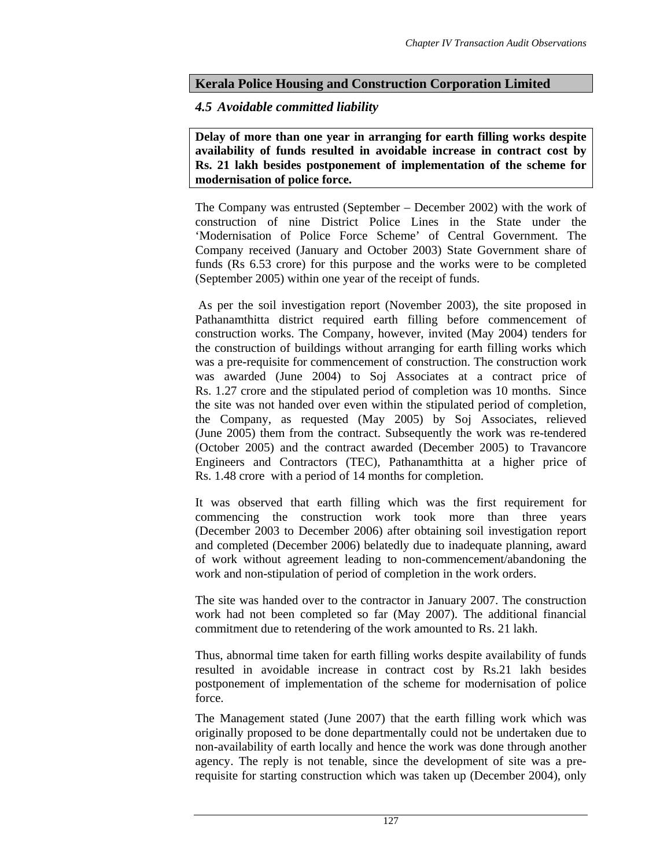## **Kerala Police Housing and Construction Corporation Limited**

## *4.5 Avoidable committed liability*

**Delay of more than one year in arranging for earth filling works despite availability of funds resulted in avoidable increase in contract cost by Rs. 21 lakh besides postponement of implementation of the scheme for modernisation of police force.** 

The Company was entrusted (September – December 2002) with the work of construction of nine District Police Lines in the State under the 'Modernisation of Police Force Scheme' of Central Government. The Company received (January and October 2003) State Government share of funds (Rs 6.53 crore) for this purpose and the works were to be completed (September 2005) within one year of the receipt of funds.

 As per the soil investigation report (November 2003), the site proposed in Pathanamthitta district required earth filling before commencement of construction works. The Company, however, invited (May 2004) tenders for the construction of buildings without arranging for earth filling works which was a pre-requisite for commencement of construction. The construction work was awarded (June 2004) to Soj Associates at a contract price of Rs. 1.27 crore and the stipulated period of completion was 10 months. Since the site was not handed over even within the stipulated period of completion, the Company, as requested (May 2005) by Soj Associates, relieved (June 2005) them from the contract. Subsequently the work was re-tendered (October 2005) and the contract awarded (December 2005) to Travancore Engineers and Contractors (TEC), Pathanamthitta at a higher price of Rs. 1.48 crore with a period of 14 months for completion.

It was observed that earth filling which was the first requirement for commencing the construction work took more than three years (December 2003 to December 2006) after obtaining soil investigation report and completed (December 2006) belatedly due to inadequate planning, award of work without agreement leading to non-commencement/abandoning the work and non-stipulation of period of completion in the work orders.

The site was handed over to the contractor in January 2007. The construction work had not been completed so far (May 2007). The additional financial commitment due to retendering of the work amounted to Rs. 21 lakh.

Thus, abnormal time taken for earth filling works despite availability of funds resulted in avoidable increase in contract cost by Rs.21 lakh besides postponement of implementation of the scheme for modernisation of police force.

The Management stated (June 2007) that the earth filling work which was originally proposed to be done departmentally could not be undertaken due to non-availability of earth locally and hence the work was done through another agency. The reply is not tenable, since the development of site was a prerequisite for starting construction which was taken up (December 2004), only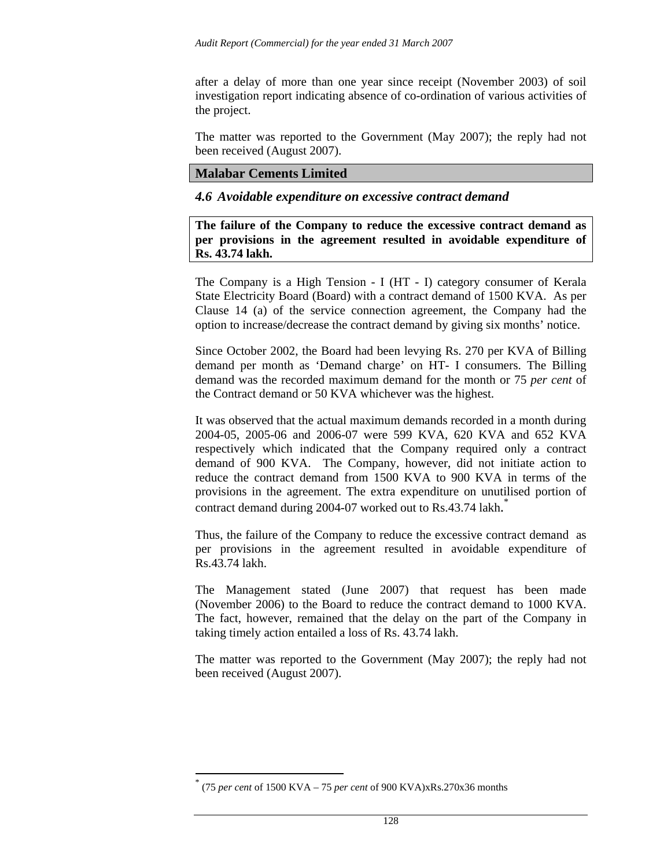after a delay of more than one year since receipt (November 2003) of soil investigation report indicating absence of co-ordination of various activities of the project.

The matter was reported to the Government (May 2007); the reply had not been received (August 2007).

### **Malabar Cements Limited**

*4.6 Avoidable expenditure on excessive contract demand* 

**The failure of the Company to reduce the excessive contract demand as per provisions in the agreement resulted in avoidable expenditure of Rs. 43.74 lakh.** 

The Company is a High Tension - I (HT - I) category consumer of Kerala State Electricity Board (Board) with a contract demand of 1500 KVA. As per Clause 14 (a) of the service connection agreement, the Company had the option to increase/decrease the contract demand by giving six months' notice.

Since October 2002, the Board had been levying Rs. 270 per KVA of Billing demand per month as 'Demand charge' on HT- I consumers. The Billing demand was the recorded maximum demand for the month or 75 *per cent* of the Contract demand or 50 KVA whichever was the highest.

It was observed that the actual maximum demands recorded in a month during 2004-05, 2005-06 and 2006-07 were 599 KVA, 620 KVA and 652 KVA respectively which indicated that the Company required only a contract demand of 900 KVA. The Company, however, did not initiate action to reduce the contract demand from 1500 KVA to 900 KVA in terms of the provisions in the agreement. The extra expenditure on unutilised portion of contract demand during 2004-07 worked out to Rs.43.74 lakh. \*

Thus, the failure of the Company to reduce the excessive contract demand as per provisions in the agreement resulted in avoidable expenditure of Rs.43.74 lakh.

The Management stated (June 2007) that request has been made (November 2006) to the Board to reduce the contract demand to 1000 KVA. The fact, however, remained that the delay on the part of the Company in taking timely action entailed a loss of Rs. 43.74 lakh.

The matter was reported to the Government (May 2007); the reply had not been received (August 2007).

l

<sup>\*</sup> (75 *per cent* of 1500 KVA – 75 *per cent* of 900 KVA)xRs.270x36 months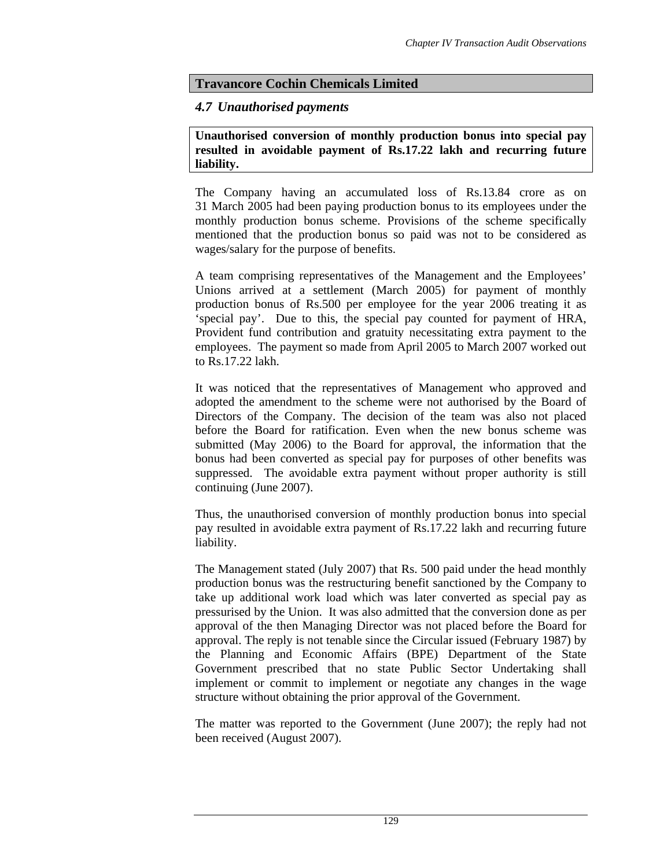## **Travancore Cochin Chemicals Limited**

### *4.7 Unauthorised payments*

**Unauthorised conversion of monthly production bonus into special pay resulted in avoidable payment of Rs.17.22 lakh and recurring future liability.** 

The Company having an accumulated loss of Rs.13.84 crore as on 31 March 2005 had been paying production bonus to its employees under the monthly production bonus scheme. Provisions of the scheme specifically mentioned that the production bonus so paid was not to be considered as wages/salary for the purpose of benefits.

A team comprising representatives of the Management and the Employees' Unions arrived at a settlement (March 2005) for payment of monthly production bonus of Rs.500 per employee for the year 2006 treating it as 'special pay'. Due to this, the special pay counted for payment of HRA, Provident fund contribution and gratuity necessitating extra payment to the employees. The payment so made from April 2005 to March 2007 worked out to Rs.17.22 lakh.

It was noticed that the representatives of Management who approved and adopted the amendment to the scheme were not authorised by the Board of Directors of the Company. The decision of the team was also not placed before the Board for ratification. Even when the new bonus scheme was submitted (May 2006) to the Board for approval, the information that the bonus had been converted as special pay for purposes of other benefits was suppressed. The avoidable extra payment without proper authority is still continuing (June 2007).

Thus, the unauthorised conversion of monthly production bonus into special pay resulted in avoidable extra payment of Rs.17.22 lakh and recurring future liability.

The Management stated (July 2007) that Rs. 500 paid under the head monthly production bonus was the restructuring benefit sanctioned by the Company to take up additional work load which was later converted as special pay as pressurised by the Union. It was also admitted that the conversion done as per approval of the then Managing Director was not placed before the Board for approval. The reply is not tenable since the Circular issued (February 1987) by the Planning and Economic Affairs (BPE) Department of the State Government prescribed that no state Public Sector Undertaking shall implement or commit to implement or negotiate any changes in the wage structure without obtaining the prior approval of the Government.

The matter was reported to the Government (June 2007); the reply had not been received (August 2007).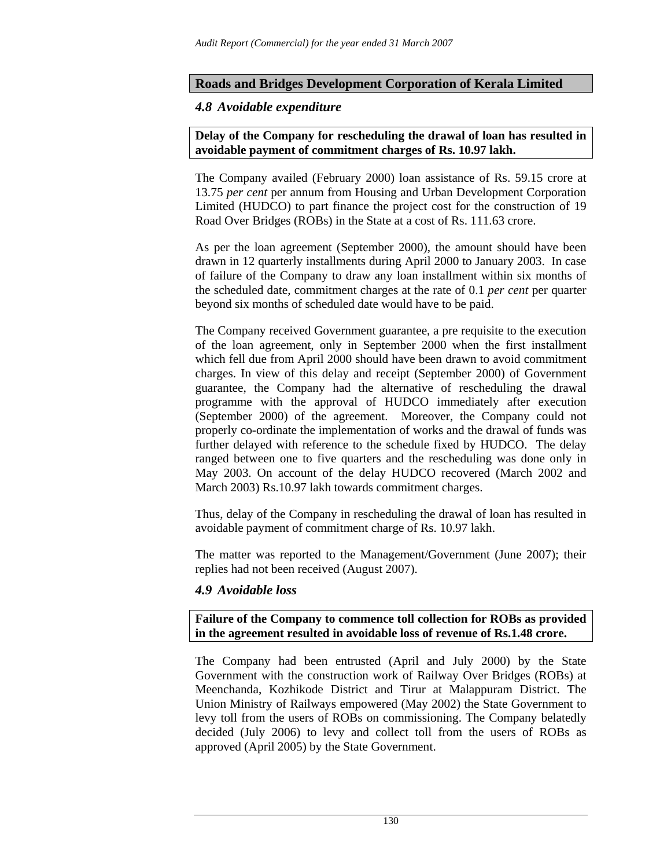### **Roads and Bridges Development Corporation of Kerala Limited**

### *4.8 Avoidable expenditure*

### **Delay of the Company for rescheduling the drawal of loan has resulted in avoidable payment of commitment charges of Rs. 10.97 lakh.**

The Company availed (February 2000) loan assistance of Rs. 59.15 crore at 13.75 *per cent* per annum from Housing and Urban Development Corporation Limited (HUDCO) to part finance the project cost for the construction of 19 Road Over Bridges (ROBs) in the State at a cost of Rs. 111.63 crore.

As per the loan agreement (September 2000), the amount should have been drawn in 12 quarterly installments during April 2000 to January 2003. In case of failure of the Company to draw any loan installment within six months of the scheduled date, commitment charges at the rate of 0.1 *per cent* per quarter beyond six months of scheduled date would have to be paid.

The Company received Government guarantee, a pre requisite to the execution of the loan agreement, only in September 2000 when the first installment which fell due from April 2000 should have been drawn to avoid commitment charges. In view of this delay and receipt (September 2000) of Government guarantee, the Company had the alternative of rescheduling the drawal programme with the approval of HUDCO immediately after execution (September 2000) of the agreement. Moreover, the Company could not properly co-ordinate the implementation of works and the drawal of funds was further delayed with reference to the schedule fixed by HUDCO. The delay ranged between one to five quarters and the rescheduling was done only in May 2003. On account of the delay HUDCO recovered (March 2002 and March 2003) Rs.10.97 lakh towards commitment charges.

Thus, delay of the Company in rescheduling the drawal of loan has resulted in avoidable payment of commitment charge of Rs. 10.97 lakh .

The matter was reported to the Management/Government (June 2007); their replies had not been received (August 2007).

### *4.9 Avoidable loss*

**Failure of the Company to commence toll collection for ROBs as provided in the agreement resulted in avoidable loss of revenue of Rs.1.48 crore.** 

The Company had been entrusted (April and July 2000) by the State Government with the construction work of Railway Over Bridges (ROBs) at Meenchanda, Kozhikode District and Tirur at Malappuram District. The Union Ministry of Railways empowered (May 2002) the State Government to levy toll from the users of ROBs on commissioning. The Company belatedly decided (July 2006) to levy and collect toll from the users of ROBs as approved (April 2005) by the State Government.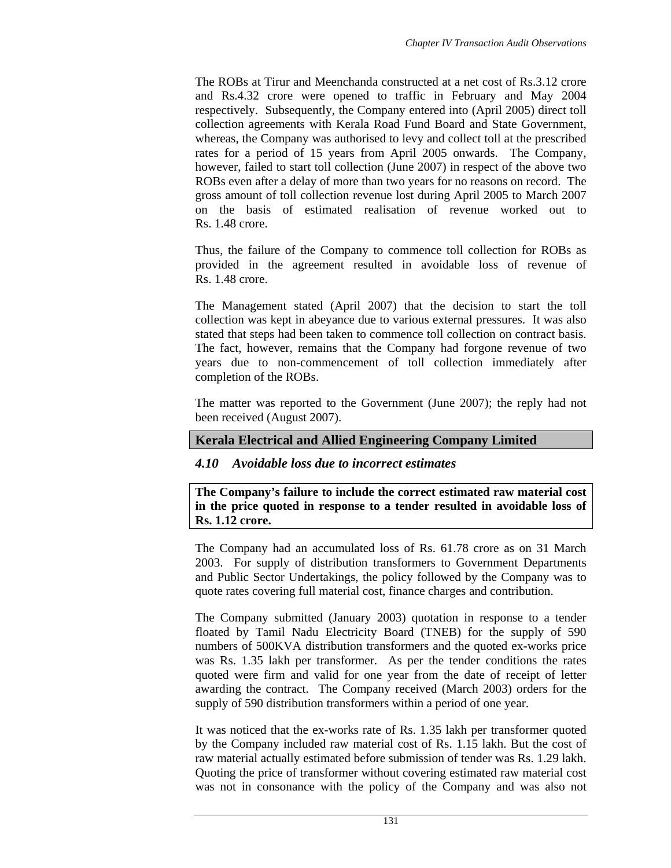The ROBs at Tirur and Meenchanda constructed at a net cost of Rs.3.12 crore and Rs.4.32 crore were opened to traffic in February and May 2004 respectively. Subsequently, the Company entered into (April 2005) direct toll collection agreements with Kerala Road Fund Board and State Government, whereas, the Company was authorised to levy and collect toll at the prescribed rates for a period of 15 years from April 2005 onwards. The Company, however, failed to start toll collection (June 2007) in respect of the above two ROBs even after a delay of more than two years for no reasons on record. The gross amount of toll collection revenue lost during April 2005 to March 2007 on the basis of estimated realisation of revenue worked out to Rs. 1.48 crore.

Thus, the failure of the Company to commence toll collection for ROBs as provided in the agreement resulted in avoidable loss of revenue of Rs. 1.48 crore.

The Management stated (April 2007) that the decision to start the toll collection was kept in abeyance due to various external pressures. It was also stated that steps had been taken to commence toll collection on contract basis. The fact, however, remains that the Company had forgone revenue of two years due to non-commencement of toll collection immediately after completion of the ROBs.

The matter was reported to the Government (June 2007); the reply had not been received (August 2007).

### **Kerala Electrical and Allied Engineering Company Limited**

### *4.10 Avoidable loss due to incorrect estimates*

**The Company's failure to include the correct estimated raw material cost in the price quoted in response to a tender resulted in avoidable loss of Rs. 1.12 crore.** 

The Company had an accumulated loss of Rs. 61.78 crore as on 31 March 2003. For supply of distribution transformers to Government Departments and Public Sector Undertakings, the policy followed by the Company was to quote rates covering full material cost, finance charges and contribution.

The Company submitted (January 2003) quotation in response to a tender floated by Tamil Nadu Electricity Board (TNEB) for the supply of 590 numbers of 500KVA distribution transformers and the quoted ex-works price was Rs. 1.35 lakh per transformer. As per the tender conditions the rates quoted were firm and valid for one year from the date of receipt of letter awarding the contract. The Company received (March 2003) orders for the supply of 590 distribution transformers within a period of one year.

It was noticed that the ex-works rate of Rs. 1.35 lakh per transformer quoted by the Company included raw material cost of Rs. 1.15 lakh. But the cost of raw material actually estimated before submission of tender was Rs. 1.29 lakh. Quoting the price of transformer without covering estimated raw material cost was not in consonance with the policy of the Company and was also not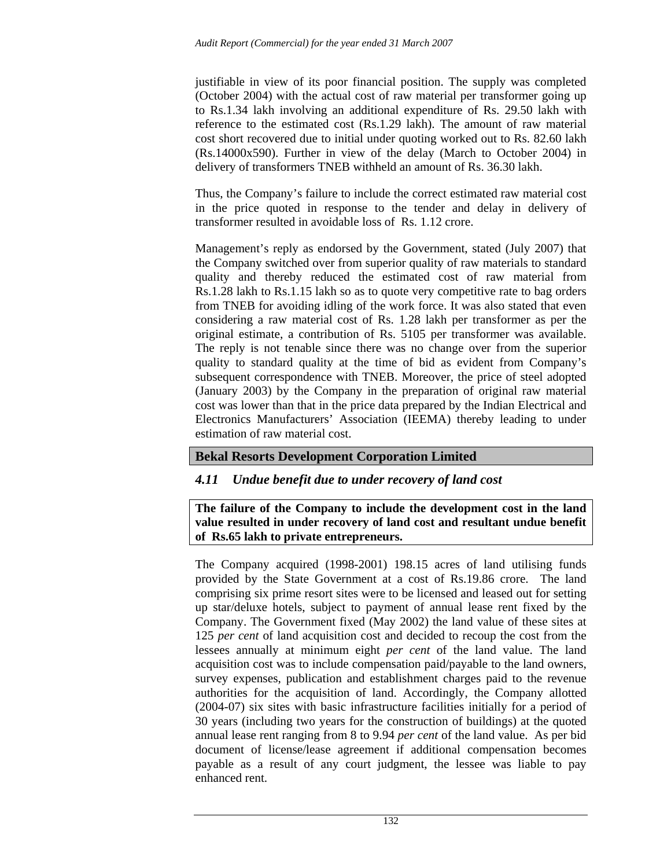justifiable in view of its poor financial position. The supply was completed (October 2004) with the actual cost of raw material per transformer going up to Rs.1.34 lakh involving an additional expenditure of Rs. 29.50 lakh with reference to the estimated cost (Rs.1.29 lakh). The amount of raw material cost short recovered due to initial under quoting worked out to Rs. 82.60 lakh (Rs.14000x590). Further in view of the delay (March to October 2004) in delivery of transformers TNEB withheld an amount of Rs. 36.30 lakh.

Thus, the Company's failure to include the correct estimated raw material cost in the price quoted in response to the tender and delay in delivery of transformer resulted in avoidable loss of Rs. 1.12 crore.

Management's reply as endorsed by the Government, stated (July 2007) that the Company switched over from superior quality of raw materials to standard quality and thereby reduced the estimated cost of raw material from Rs.1.28 lakh to Rs.1.15 lakh so as to quote very competitive rate to bag orders from TNEB for avoiding idling of the work force. It was also stated that even considering a raw material cost of Rs. 1.28 lakh per transformer as per the original estimate, a contribution of Rs. 5105 per transformer was available. The reply is not tenable since there was no change over from the superior quality to standard quality at the time of bid as evident from Company's subsequent correspondence with TNEB. Moreover, the price of steel adopted (January 2003) by the Company in the preparation of original raw material cost was lower than that in the price data prepared by the Indian Electrical and Electronics Manufacturers' Association (IEEMA) thereby leading to under estimation of raw material cost.

## **Bekal Resorts Development Corporation Limited**

## *4.11 Undue benefit due to under recovery of land cost*

**The failure of the Company to include the development cost in the land value resulted in under recovery of land cost and resultant undue benefit of Rs.65 lakh to private entrepreneurs.** 

The Company acquired (1998-2001) 198.15 acres of land utilising funds provided by the State Government at a cost of Rs.19.86 crore. The land comprising six prime resort sites were to be licensed and leased out for setting up star/deluxe hotels, subject to payment of annual lease rent fixed by the Company. The Government fixed (May 2002) the land value of these sites at 125 *per cent* of land acquisition cost and decided to recoup the cost from the lessees annually at minimum eight *per cent* of the land value. The land acquisition cost was to include compensation paid/payable to the land owners, survey expenses, publication and establishment charges paid to the revenue authorities for the acquisition of land. Accordingly, the Company allotted (2004-07) six sites with basic infrastructure facilities initially for a period of 30 years (including two years for the construction of buildings) at the quoted annual lease rent ranging from 8 to 9.94 *per cent* of the land value. As per bid document of license/lease agreement if additional compensation becomes payable as a result of any court judgment, the lessee was liable to pay enhanced rent.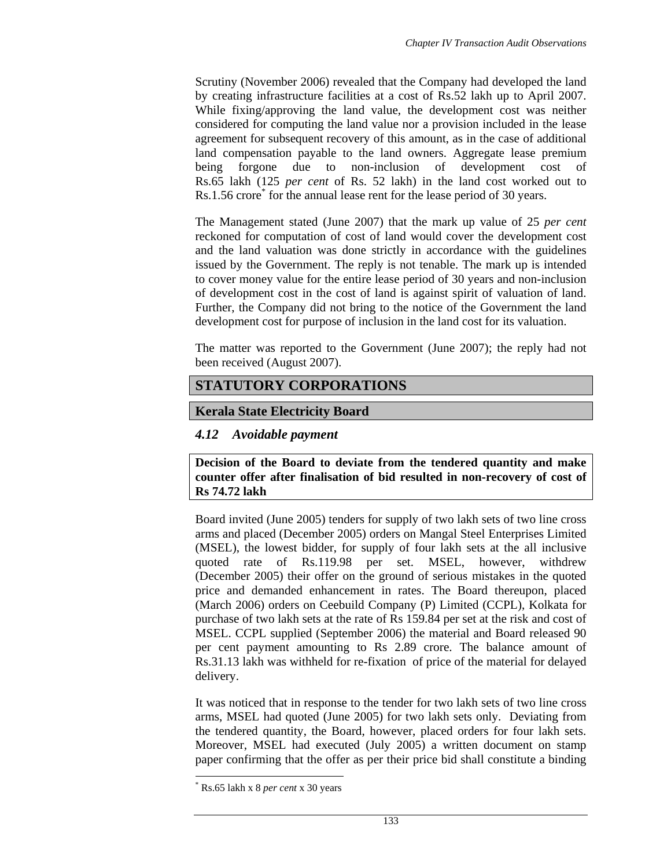Scrutiny (November 2006) revealed that the Company had developed the land by creating infrastructure facilities at a cost of Rs.52 lakh up to April 2007. While fixing/approving the land value, the development cost was neither considered for computing the land value nor a provision included in the lease agreement for subsequent recovery of this amount, as in the case of additional land compensation payable to the land owners. Aggregate lease premium being forgone due to non-inclusion of development cost of Rs.65 lakh (125 *per cent* of Rs. 52 lakh) in the land cost worked out to Rs.1.56 crore<sup>\*</sup> for the annual lease rent for the lease period of 30 years.

The Management stated (June 2007) that the mark up value of 25 *per cent* reckoned for computation of cost of land would cover the development cost and the land valuation was done strictly in accordance with the guidelines issued by the Government. The reply is not tenable. The mark up is intended to cover money value for the entire lease period of 30 years and non-inclusion of development cost in the cost of land is against spirit of valuation of land. Further, the Company did not bring to the notice of the Government the land development cost for purpose of inclusion in the land cost for its valuation.

The matter was reported to the Government (June 2007); the reply had not been received (August 2007).

# **STATUTORY CORPORATIONS**

## **Kerala State Electricity Board**

## *4.12 Avoidable payment*

**Decision of the Board to deviate from the tendered quantity and make counter offer after finalisation of bid resulted in non-recovery of cost of Rs 74.72 lakh** 

Board invited (June 2005) tenders for supply of two lakh sets of two line cross arms and placed (December 2005) orders on Mangal Steel Enterprises Limited (MSEL), the lowest bidder, for supply of four lakh sets at the all inclusive quoted rate of Rs.119.98 per set. MSEL, however, withdrew (December 2005) their offer on the ground of serious mistakes in the quoted price and demanded enhancement in rates. The Board thereupon, placed (March 2006) orders on Ceebuild Company (P) Limited (CCPL), Kolkata for purchase of two lakh sets at the rate of Rs 159.84 per set at the risk and cost of MSEL. CCPL supplied (September 2006) the material and Board released 90 per cent payment amounting to Rs 2.89 crore. The balance amount of Rs.31.13 lakh was withheld for re-fixation of price of the material for delayed delivery.

It was noticed that in response to the tender for two lakh sets of two line cross arms, MSEL had quoted (June 2005) for two lakh sets only. Deviating from the tendered quantity, the Board, however, placed orders for four lakh sets. Moreover, MSEL had executed (July 2005) a written document on stamp paper confirming that the offer as per their price bid shall constitute a binding

 $\overline{a}$ 

<sup>\*</sup> Rs.65 lakh x 8 *per cent* x 30 years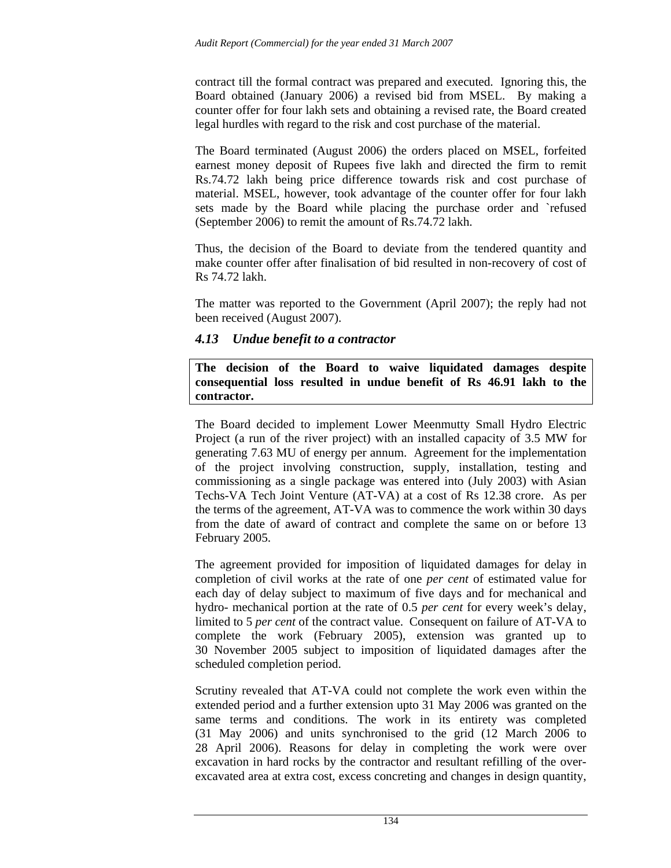contract till the formal contract was prepared and executed. Ignoring this, the Board obtained (January 2006) a revised bid from MSEL. By making a counter offer for four lakh sets and obtaining a revised rate, the Board created legal hurdles with regard to the risk and cost purchase of the material.

The Board terminated (August 2006) the orders placed on MSEL, forfeited earnest money deposit of Rupees five lakh and directed the firm to remit Rs.74.72 lakh being price difference towards risk and cost purchase of material. MSEL, however, took advantage of the counter offer for four lakh sets made by the Board while placing the purchase order and `refused (September 2006) to remit the amount of Rs.74.72 lakh.

Thus, the decision of the Board to deviate from the tendered quantity and make counter offer after finalisation of bid resulted in non-recovery of cost of Rs 74.72 lakh.

The matter was reported to the Government (April 2007); the reply had not been received (August 2007).

## *4.13 Undue benefit to a contractor*

**The decision of the Board to waive liquidated damages despite consequential loss resulted in undue benefit of Rs 46.91 lakh to the contractor.** 

The Board decided to implement Lower Meenmutty Small Hydro Electric Project (a run of the river project) with an installed capacity of 3.5 MW for generating 7.63 MU of energy per annum. Agreement for the implementation of the project involving construction, supply, installation, testing and commissioning as a single package was entered into (July 2003) with Asian Techs-VA Tech Joint Venture (AT-VA) at a cost of Rs 12.38 crore. As per the terms of the agreement, AT-VA was to commence the work within 30 days from the date of award of contract and complete the same on or before 13 February 2005.

The agreement provided for imposition of liquidated damages for delay in completion of civil works at the rate of one *per cent* of estimated value for each day of delay subject to maximum of five days and for mechanical and hydro- mechanical portion at the rate of 0.5 *per cent* for every week's delay, limited to 5 *per cent* of the contract value. Consequent on failure of AT-VA to complete the work (February 2005), extension was granted up to 30 November 2005 subject to imposition of liquidated damages after the scheduled completion period.

Scrutiny revealed that AT-VA could not complete the work even within the extended period and a further extension upto 31 May 2006 was granted on the same terms and conditions. The work in its entirety was completed (31 May 2006) and units synchronised to the grid (12 March 2006 to 28 April 2006). Reasons for delay in completing the work were over excavation in hard rocks by the contractor and resultant refilling of the overexcavated area at extra cost, excess concreting and changes in design quantity,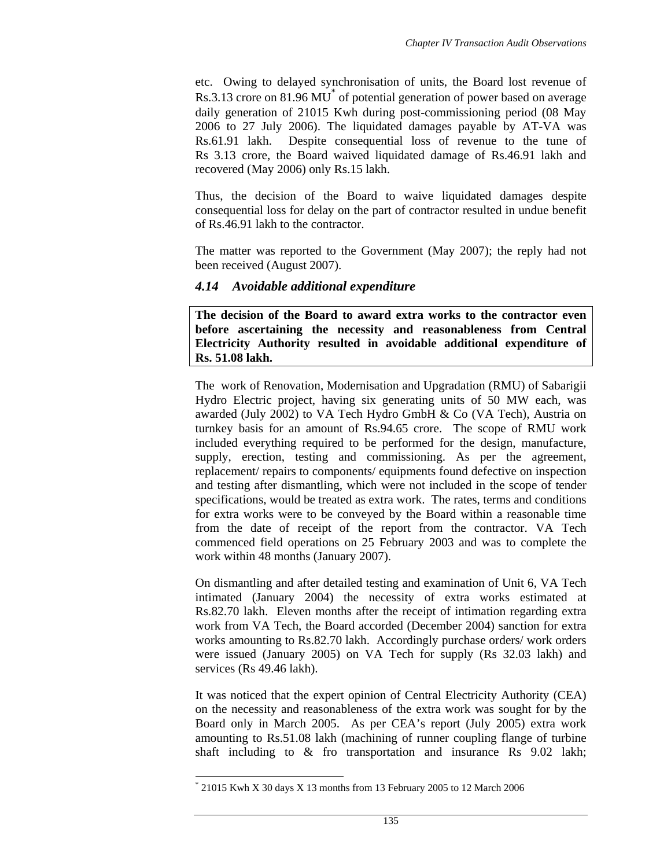etc. Owing to delayed synchronisation of units, the Board lost revenue of Rs.3.13 crore on 81.96 MU<sup>\*</sup> of potential generation of power based on average daily generation of 21015 Kwh during post-commissioning period (08 May 2006 to 27 July 2006). The liquidated damages payable by AT-VA was Rs.61.91 lakh. Despite consequential loss of revenue to the tune of Rs 3.13 crore, the Board waived liquidated damage of Rs.46.91 lakh and recovered (May 2006) only Rs.15 lakh.

Thus, the decision of the Board to waive liquidated damages despite consequential loss for delay on the part of contractor resulted in undue benefit of Rs.46.91 lakh to the contractor.

The matter was reported to the Government (May 2007); the reply had not been received (August 2007).

### *4.14 Avoidable additional expenditure*

**The decision of the Board to award extra works to the contractor even before ascertaining the necessity and reasonableness from Central Electricity Authority resulted in avoidable additional expenditure of Rs. 51.08 lakh.** 

The work of Renovation, Modernisation and Upgradation (RMU) of Sabarigii Hydro Electric project, having six generating units of 50 MW each, was awarded (July 2002) to VA Tech Hydro GmbH & Co (VA Tech), Austria on turnkey basis for an amount of Rs.94.65 crore. The scope of RMU work included everything required to be performed for the design, manufacture, supply, erection, testing and commissioning. As per the agreement, replacement/ repairs to components/ equipments found defective on inspection and testing after dismantling, which were not included in the scope of tender specifications, would be treated as extra work. The rates, terms and conditions for extra works were to be conveyed by the Board within a reasonable time from the date of receipt of the report from the contractor. VA Tech commenced field operations on 25 February 2003 and was to complete the work within 48 months (January 2007).

On dismantling and after detailed testing and examination of Unit 6, VA Tech intimated (January 2004) the necessity of extra works estimated at Rs.82.70 lakh. Eleven months after the receipt of intimation regarding extra work from VA Tech, the Board accorded (December 2004) sanction for extra works amounting to Rs.82.70 lakh. Accordingly purchase orders/ work orders were issued (January 2005) on VA Tech for supply (Rs 32.03 lakh) and services (Rs 49.46 lakh).

It was noticed that the expert opinion of Central Electricity Authority (CEA) on the necessity and reasonableness of the extra work was sought for by the Board only in March 2005. As per CEA's report (July 2005) extra work amounting to Rs.51.08 lakh (machining of runner coupling flange of turbine shaft including to & fro transportation and insurance Rs 9.02 lakh;

 $\overline{a}$ 

<sup>\*</sup> 21015 Kwh X 30 days X 13 months from 13 February 2005 to 12 March 2006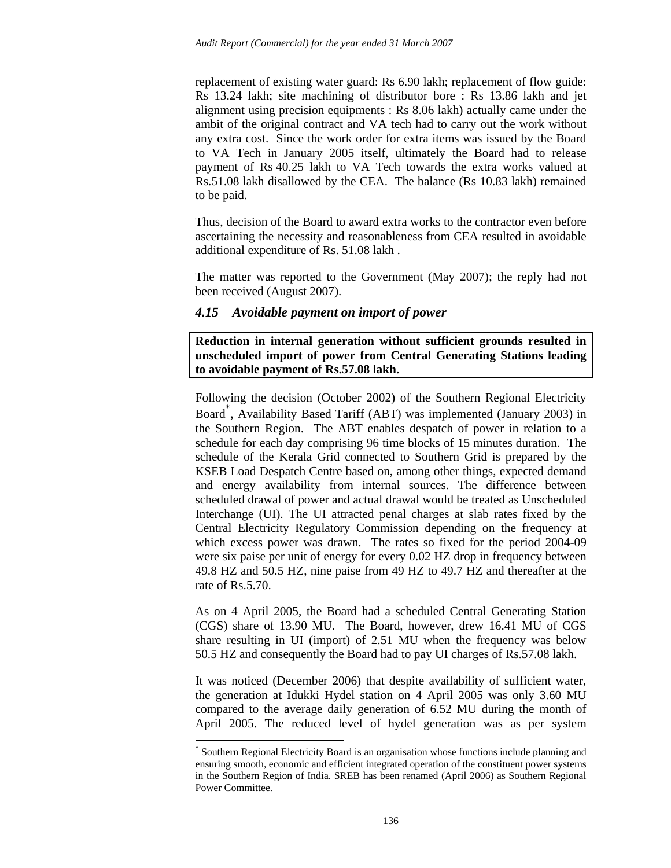replacement of existing water guard: Rs 6.90 lakh; replacement of flow guide: Rs 13.24 lakh; site machining of distributor bore : Rs 13.86 lakh and jet alignment using precision equipments : Rs 8.06 lakh) actually came under the ambit of the original contract and VA tech had to carry out the work without any extra cost. Since the work order for extra items was issued by the Board to VA Tech in January 2005 itself, ultimately the Board had to release payment of Rs 40.25 lakh to VA Tech towards the extra works valued at Rs.51.08 lakh disallowed by the CEA. The balance (Rs 10.83 lakh) remained to be paid.

Thus, decision of the Board to award extra works to the contractor even before ascertaining the necessity and reasonableness from CEA resulted in avoidable additional expenditure of Rs. 51.08 lakh .

The matter was reported to the Government (May 2007); the reply had not been received (August 2007).

### *4.15 Avoidable payment on import of power*

**Reduction in internal generation without sufficient grounds resulted in unscheduled import of power from Central Generating Stations leading to avoidable payment of Rs.57.08 lakh.** 

Following the decision (October 2002) of the Southern Regional Electricity Board\* , Availability Based Tariff (ABT) was implemented (January 2003) in the Southern Region. The ABT enables despatch of power in relation to a schedule for each day comprising 96 time blocks of 15 minutes duration. The schedule of the Kerala Grid connected to Southern Grid is prepared by the KSEB Load Despatch Centre based on, among other things, expected demand and energy availability from internal sources. The difference between scheduled drawal of power and actual drawal would be treated as Unscheduled Interchange (UI). The UI attracted penal charges at slab rates fixed by the Central Electricity Regulatory Commission depending on the frequency at which excess power was drawn. The rates so fixed for the period 2004-09 were six paise per unit of energy for every 0.02 HZ drop in frequency between 49.8 HZ and 50.5 HZ, nine paise from 49 HZ to 49.7 HZ and thereafter at the rate of Rs.5.70.

As on 4 April 2005, the Board had a scheduled Central Generating Station (CGS) share of 13.90 MU. The Board, however, drew 16.41 MU of CGS share resulting in UI (import) of 2.51 MU when the frequency was below 50.5 HZ and consequently the Board had to pay UI charges of Rs.57.08 lakh.

It was noticed (December 2006) that despite availability of sufficient water, the generation at Idukki Hydel station on 4 April 2005 was only 3.60 MU compared to the average daily generation of 6.52 MU during the month of April 2005. The reduced level of hydel generation was as per system

l

<sup>\*</sup> Southern Regional Electricity Board is an organisation whose functions include planning and ensuring smooth, economic and efficient integrated operation of the constituent power systems in the Southern Region of India. SREB has been renamed (April 2006) as Southern Regional Power Committee.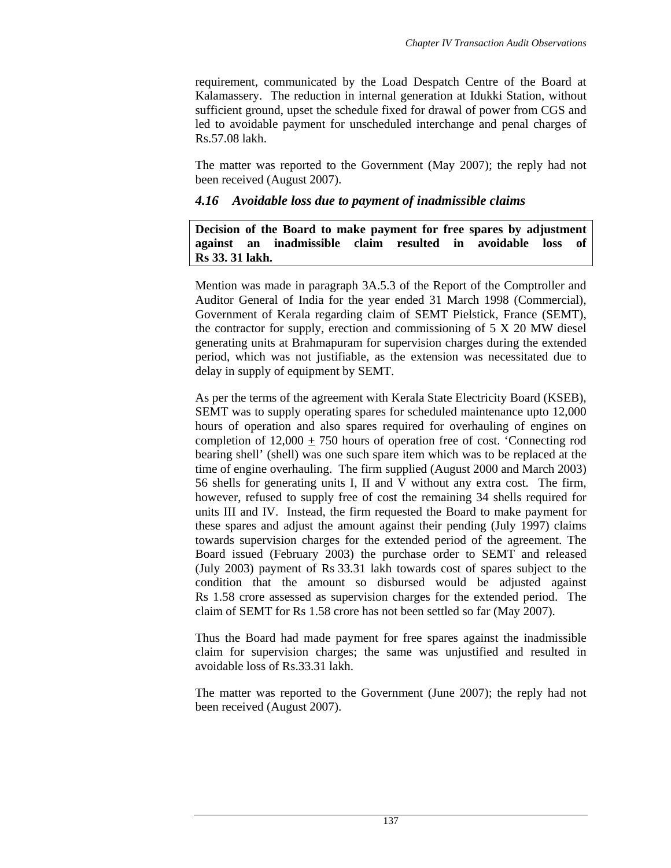requirement, communicated by the Load Despatch Centre of the Board at Kalamassery. The reduction in internal generation at Idukki Station, without sufficient ground, upset the schedule fixed for drawal of power from CGS and led to avoidable payment for unscheduled interchange and penal charges of Rs.57.08 lakh.

The matter was reported to the Government (May 2007); the reply had not been received (August 2007).

## *4.16 Avoidable loss due to payment of inadmissible claims*

**Decision of the Board to make payment for free spares by adjustment against an inadmissible claim resulted in avoidable loss of Rs 33. 31 lakh.** 

Mention was made in paragraph 3A.5.3 of the Report of the Comptroller and Auditor General of India for the year ended 31 March 1998 (Commercial), Government of Kerala regarding claim of SEMT Pielstick, France (SEMT), the contractor for supply, erection and commissioning of 5 X 20 MW diesel generating units at Brahmapuram for supervision charges during the extended period, which was not justifiable, as the extension was necessitated due to delay in supply of equipment by SEMT.

As per the terms of the agreement with Kerala State Electricity Board (KSEB), SEMT was to supply operating spares for scheduled maintenance upto 12,000 hours of operation and also spares required for overhauling of engines on completion of 12,000 + 750 hours of operation free of cost. 'Connecting rod bearing shell' (shell) was one such spare item which was to be replaced at the time of engine overhauling. The firm supplied (August 2000 and March 2003) 56 shells for generating units I, II and V without any extra cost. The firm, however, refused to supply free of cost the remaining 34 shells required for units III and IV. Instead, the firm requested the Board to make payment for these spares and adjust the amount against their pending (July 1997) claims towards supervision charges for the extended period of the agreement. The Board issued (February 2003) the purchase order to SEMT and released (July 2003) payment of Rs 33.31 lakh towards cost of spares subject to the condition that the amount so disbursed would be adjusted against Rs 1.58 crore assessed as supervision charges for the extended period. The claim of SEMT for Rs 1.58 crore has not been settled so far (May 2007).

Thus the Board had made payment for free spares against the inadmissible claim for supervision charges; the same was unjustified and resulted in avoidable loss of Rs.33.31 lakh.

The matter was reported to the Government (June 2007); the reply had not been received (August 2007).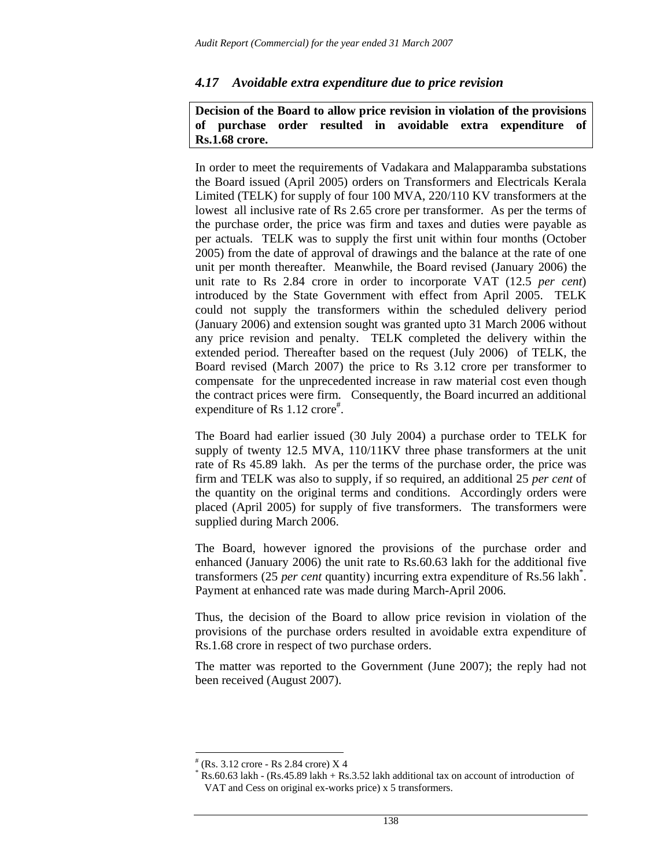### *4.17 Avoidable extra expenditure due to price revision*

### **Decision of the Board to allow price revision in violation of the provisions of purchase order resulted in avoidable extra expenditure of Rs.1.68 crore.**

In order to meet the requirements of Vadakara and Malapparamba substations the Board issued (April 2005) orders on Transformers and Electricals Kerala Limited (TELK) for supply of four 100 MVA, 220/110 KV transformers at the lowest all inclusive rate of Rs 2.65 crore per transformer. As per the terms of the purchase order, the price was firm and taxes and duties were payable as per actuals. TELK was to supply the first unit within four months (October 2005) from the date of approval of drawings and the balance at the rate of one unit per month thereafter. Meanwhile, the Board revised (January 2006) the unit rate to Rs 2.84 crore in order to incorporate VAT (12.5 *per cent*) introduced by the State Government with effect from April 2005. TELK could not supply the transformers within the scheduled delivery period (January 2006) and extension sought was granted upto 31 March 2006 without any price revision and penalty. TELK completed the delivery within the extended period. Thereafter based on the request (July 2006) of TELK, the Board revised (March 2007) the price to Rs 3.12 crore per transformer to compensate for the unprecedented increase in raw material cost even though the contract prices were firm. Consequently, the Board incurred an additional expenditure of Rs 1.12 crore<sup>#</sup>.

The Board had earlier issued (30 July 2004) a purchase order to TELK for supply of twenty 12.5 MVA, 110/11KV three phase transformers at the unit rate of Rs 45.89 lakh. As per the terms of the purchase order, the price was firm and TELK was also to supply, if so required, an additional 25 *per cent* of the quantity on the original terms and conditions. Accordingly orders were placed (April 2005) for supply of five transformers. The transformers were supplied during March 2006.

The Board, however ignored the provisions of the purchase order and enhanced (January 2006) the unit rate to Rs.60.63 lakh for the additional five transformers (25 *per cent* quantity) incurring extra expenditure of Rs.56 lakh\* . Payment at enhanced rate was made during March-April 2006.

Thus, the decision of the Board to allow price revision in violation of the provisions of the purchase orders resulted in avoidable extra expenditure of Rs.1.68 crore in respect of two purchase orders.

The matter was reported to the Government (June 2007); the reply had not been received (August 2007).

l

<sup>#</sup> (Rs. 3.12 crore - Rs 2.84 crore) X 4

<sup>\*</sup> Rs.60.63 lakh - (Rs.45.89 lakh + Rs.3.52 lakh additional tax on account of introduction of VAT and Cess on original ex-works price) x 5 transformers.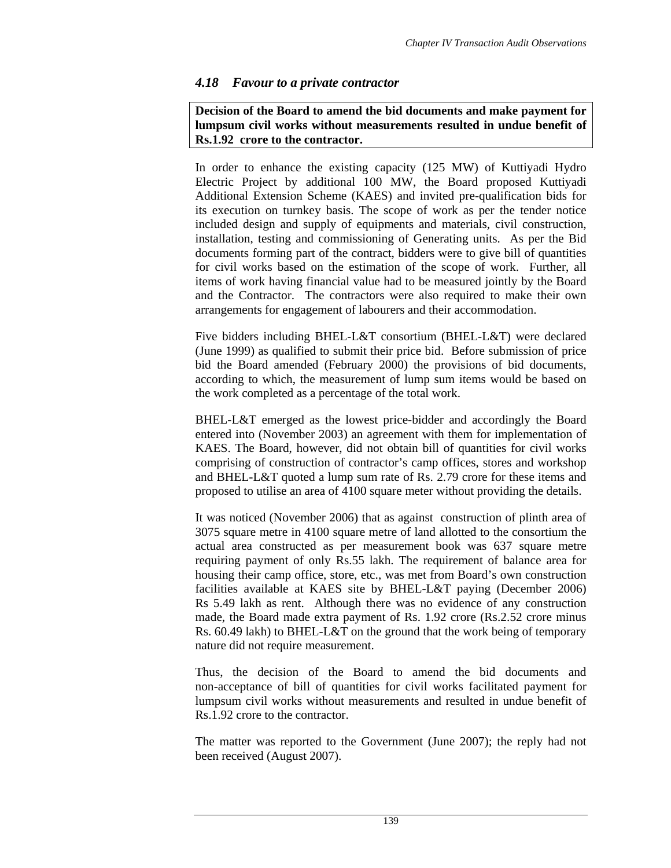## *4.18 Favour to a private contractor*

### **Decision of the Board to amend the bid documents and make payment for lumpsum civil works without measurements resulted in undue benefit of Rs.1.92 crore to the contractor.**

In order to enhance the existing capacity (125 MW) of Kuttiyadi Hydro Electric Project by additional 100 MW, the Board proposed Kuttiyadi Additional Extension Scheme (KAES) and invited pre-qualification bids for its execution on turnkey basis. The scope of work as per the tender notice included design and supply of equipments and materials, civil construction, installation, testing and commissioning of Generating units. As per the Bid documents forming part of the contract, bidders were to give bill of quantities for civil works based on the estimation of the scope of work. Further, all items of work having financial value had to be measured jointly by the Board and the Contractor. The contractors were also required to make their own arrangements for engagement of labourers and their accommodation.

Five bidders including BHEL-L&T consortium (BHEL-L&T) were declared (June 1999) as qualified to submit their price bid. Before submission of price bid the Board amended (February 2000) the provisions of bid documents, according to which, the measurement of lump sum items would be based on the work completed as a percentage of the total work.

BHEL-L&T emerged as the lowest price-bidder and accordingly the Board entered into (November 2003) an agreement with them for implementation of KAES. The Board, however, did not obtain bill of quantities for civil works comprising of construction of contractor's camp offices, stores and workshop and BHEL-L&T quoted a lump sum rate of Rs. 2.79 crore for these items and proposed to utilise an area of 4100 square meter without providing the details.

It was noticed (November 2006) that as against construction of plinth area of 3075 square metre in 4100 square metre of land allotted to the consortium the actual area constructed as per measurement book was 637 square metre requiring payment of only Rs.55 lakh. The requirement of balance area for housing their camp office, store, etc., was met from Board's own construction facilities available at KAES site by BHEL-L&T paying (December 2006) Rs 5.49 lakh as rent. Although there was no evidence of any construction made, the Board made extra payment of Rs. 1.92 crore (Rs.2.52 crore minus Rs. 60.49 lakh) to BHEL-L&T on the ground that the work being of temporary nature did not require measurement.

Thus, the decision of the Board to amend the bid documents and non-acceptance of bill of quantities for civil works facilitated payment for lumpsum civil works without measurements and resulted in undue benefit of Rs.1.92 crore to the contractor.

The matter was reported to the Government (June 2007); the reply had not been received (August 2007).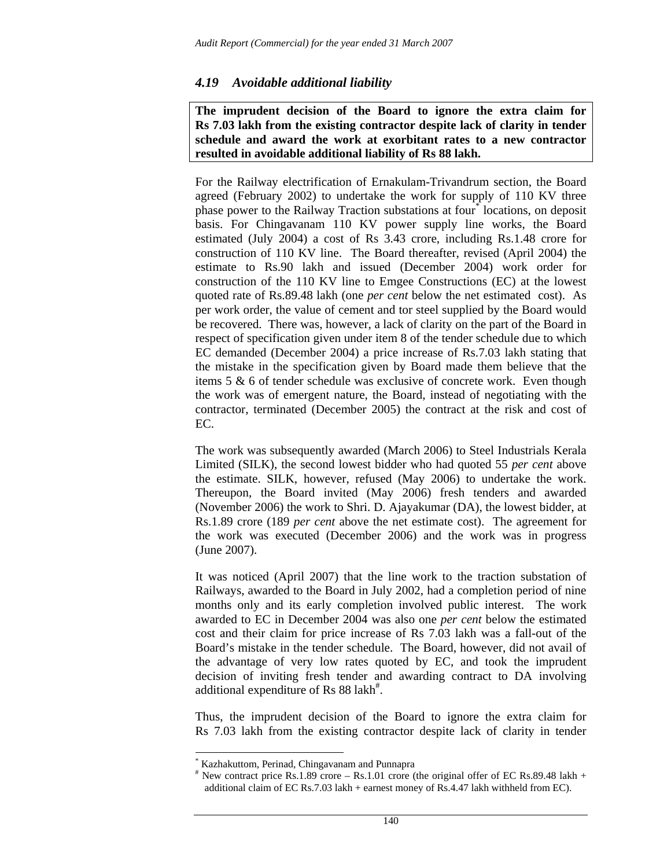### *4.19 Avoidable additional liability*

**The imprudent decision of the Board to ignore the extra claim for Rs 7.03 lakh from the existing contractor despite lack of clarity in tender schedule and award the work at exorbitant rates to a new contractor resulted in avoidable additional liability of Rs 88 lakh.** 

For the Railway electrification of Ernakulam-Trivandrum section, the Board agreed (February 2002) to undertake the work for supply of 110 KV three phase power to the Railway Traction substations at four<sup>\*</sup> locations, on deposit basis. For Chingavanam 110 KV power supply line works, the Board estimated (July 2004) a cost of Rs 3.43 crore, including Rs.1.48 crore for construction of 110 KV line. The Board thereafter, revised (April 2004) the estimate to Rs.90 lakh and issued (December 2004) work order for construction of the 110 KV line to Emgee Constructions (EC) at the lowest quoted rate of Rs.89.48 lakh (one *per cent* below the net estimated cost). As per work order, the value of cement and tor steel supplied by the Board would be recovered. There was, however, a lack of clarity on the part of the Board in respect of specification given under item 8 of the tender schedule due to which EC demanded (December 2004) a price increase of Rs.7.03 lakh stating that the mistake in the specification given by Board made them believe that the items 5 & 6 of tender schedule was exclusive of concrete work. Even though the work was of emergent nature, the Board, instead of negotiating with the contractor, terminated (December 2005) the contract at the risk and cost of EC.

The work was subsequently awarded (March 2006) to Steel Industrials Kerala Limited (SILK), the second lowest bidder who had quoted 55 *per cent* above the estimate. SILK, however, refused (May 2006) to undertake the work. Thereupon, the Board invited (May 2006) fresh tenders and awarded (November 2006) the work to Shri. D. Ajayakumar (DA), the lowest bidder, at Rs.1.89 crore (189 *per cent* above the net estimate cost). The agreement for the work was executed (December 2006) and the work was in progress (June 2007).

It was noticed (April 2007) that the line work to the traction substation of Railways, awarded to the Board in July 2002, had a completion period of nine months only and its early completion involved public interest. The work awarded to EC in December 2004 was also one *per cent* below the estimated cost and their claim for price increase of Rs 7.03 lakh was a fall-out of the Board's mistake in the tender schedule. The Board, however, did not avail of the advantage of very low rates quoted by EC, and took the imprudent decision of inviting fresh tender and awarding contract to DA involving additional expenditure of Rs 88 lakh<sup>#</sup>.

Thus, the imprudent decision of the Board to ignore the extra claim for Rs 7.03 lakh from the existing contractor despite lack of clarity in tender

l

<sup>\*</sup> Kazhakuttom, Perinad, Chingavanam and Punnapra

 $*$  New contract price Rs.1.89 crore – Rs.1.01 crore (the original offer of EC Rs.89.48 lakh + additional claim of EC Rs.7.03 lakh + earnest money of Rs.4.47 lakh withheld from EC).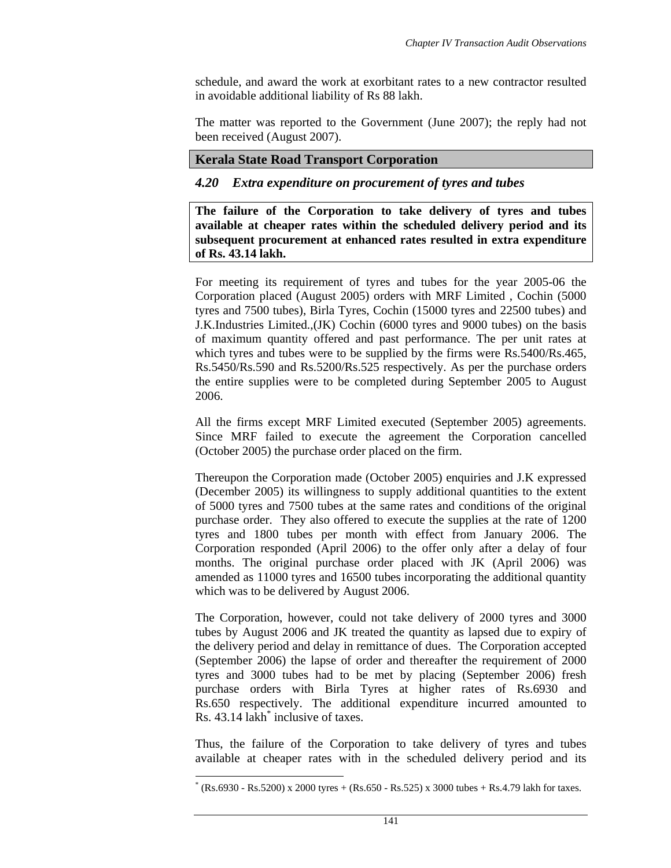schedule, and award the work at exorbitant rates to a new contractor resulted in avoidable additional liability of Rs 88 lakh.

The matter was reported to the Government (June 2007); the reply had not been received (August 2007).

### **Kerala State Road Transport Corporation**

## *4.20 Extra expenditure on procurement of tyres and tubes*

**The failure of the Corporation to take delivery of tyres and tubes available at cheaper rates within the scheduled delivery period and its subsequent procurement at enhanced rates resulted in extra expenditure of Rs. 43.14 lakh.** 

For meeting its requirement of tyres and tubes for the year 2005-06 the Corporation placed (August 2005) orders with MRF Limited , Cochin (5000 tyres and 7500 tubes), Birla Tyres, Cochin (15000 tyres and 22500 tubes) and J.K.Industries Limited.,(JK) Cochin (6000 tyres and 9000 tubes) on the basis of maximum quantity offered and past performance. The per unit rates at which tyres and tubes were to be supplied by the firms were Rs.5400/Rs.465, Rs.5450/Rs.590 and Rs.5200/Rs.525 respectively. As per the purchase orders the entire supplies were to be completed during September 2005 to August 2006.

All the firms except MRF Limited executed (September 2005) agreements. Since MRF failed to execute the agreement the Corporation cancelled (October 2005) the purchase order placed on the firm.

Thereupon the Corporation made (October 2005) enquiries and J.K expressed (December 2005) its willingness to supply additional quantities to the extent of 5000 tyres and 7500 tubes at the same rates and conditions of the original purchase order. They also offered to execute the supplies at the rate of 1200 tyres and 1800 tubes per month with effect from January 2006. The Corporation responded (April 2006) to the offer only after a delay of four months. The original purchase order placed with JK (April 2006) was amended as 11000 tyres and 16500 tubes incorporating the additional quantity which was to be delivered by August 2006.

The Corporation, however, could not take delivery of 2000 tyres and 3000 tubes by August 2006 and JK treated the quantity as lapsed due to expiry of the delivery period and delay in remittance of dues. The Corporation accepted (September 2006) the lapse of order and thereafter the requirement of 2000 tyres and 3000 tubes had to be met by placing (September 2006) fresh purchase orders with Birla Tyres at higher rates of Rs.6930 and Rs.650 respectively. The additional expenditure incurred amounted to Rs. 43.14 lakh<sup>\*</sup> inclusive of taxes.

Thus, the failure of the Corporation to take delivery of tyres and tubes available at cheaper rates with in the scheduled delivery period and its

 $\overline{a}$ 

<sup>\*</sup> (Rs.6930 - Rs.5200) x 2000 tyres + (Rs.650 - Rs.525) x 3000 tubes + Rs.4.79 lakh for taxes.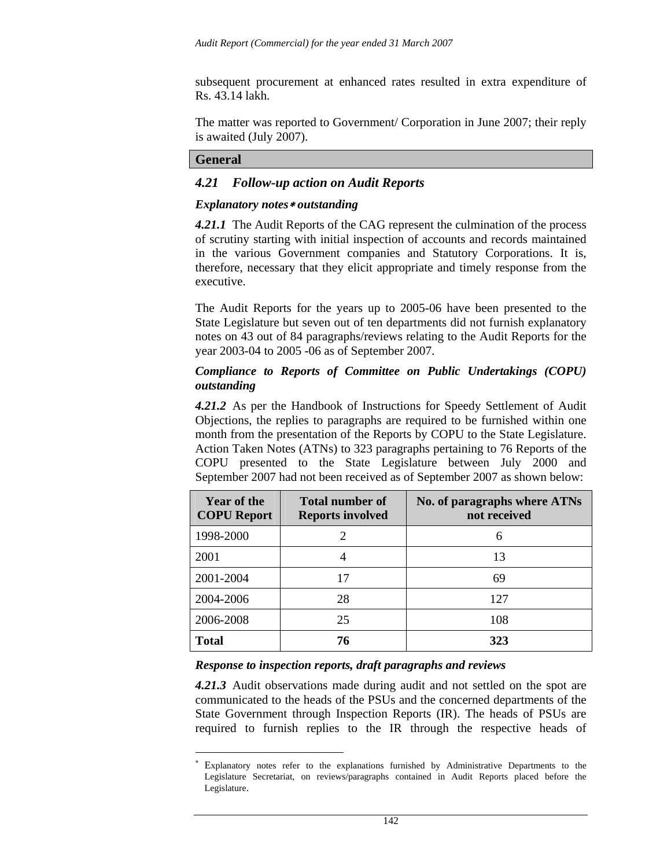subsequent procurement at enhanced rates resulted in extra expenditure of Rs. 43.14 lakh.

The matter was reported to Government/ Corporation in June 2007; their reply is awaited (July 2007).

#### **General**

l

### *4.21 Follow-up action on Audit Reports*

#### *Explanatory notes*∗ *outstanding*

*4.21.1* The Audit Reports of the CAG represent the culmination of the process of scrutiny starting with initial inspection of accounts and records maintained in the various Government companies and Statutory Corporations. It is, therefore, necessary that they elicit appropriate and timely response from the executive.

The Audit Reports for the years up to 2005-06 have been presented to the State Legislature but seven out of ten departments did not furnish explanatory notes on 43 out of 84 paragraphs/reviews relating to the Audit Reports for the year 2003-04 to 2005 -06 as of September 2007.

### *Compliance to Reports of Committee on Public Undertakings (COPU) outstanding*

4.21.2 As per the Handbook of Instructions for Speedy Settlement of Audit Objections, the replies to paragraphs are required to be furnished within one month from the presentation of the Reports by COPU to the State Legislature. Action Taken Notes (ATNs) to 323 paragraphs pertaining to 76 Reports of the COPU presented to the State Legislature between July 2000 and September 2007 had not been received as of September 2007 as shown below:

| <b>Year of the</b><br><b>COPU</b> Report | Total number of<br><b>Reports involved</b> | No. of paragraphs where ATNs<br>not received |
|------------------------------------------|--------------------------------------------|----------------------------------------------|
| 1998-2000                                | $\overline{2}$                             | 6                                            |
| 2001                                     |                                            | 13                                           |
| 2001-2004                                | 17                                         | 69                                           |
| 2004-2006                                | 28                                         | 127                                          |
| 2006-2008                                | 25                                         | 108                                          |
| <b>Total</b>                             | 76                                         | 323                                          |

#### *Response to inspection reports, draft paragraphs and reviews*

*4.21.3* Audit observations made during audit and not settled on the spot are communicated to the heads of the PSUs and the concerned departments of the State Government through Inspection Reports (IR). The heads of PSUs are required to furnish replies to the IR through the respective heads of

<sup>∗</sup> Explanatory notes refer to the explanations furnished by Administrative Departments to the Legislature Secretariat, on reviews/paragraphs contained in Audit Reports placed before the Legislature.